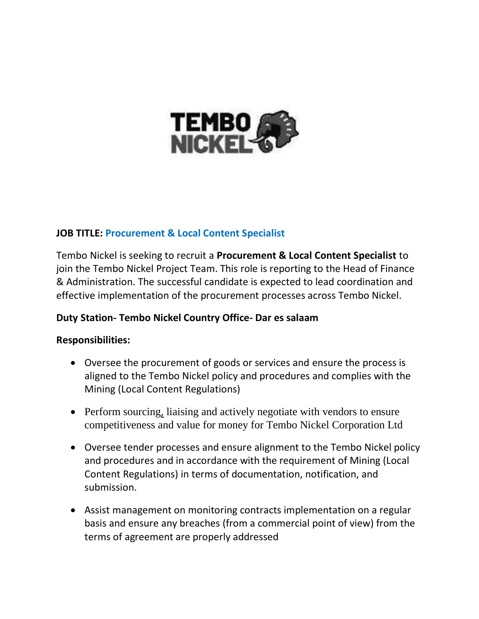

# **JOB TITLE: Procurement & Local Content Specialist**

Tembo Nickel is seeking to recruit a **Procurement & Local Content Specialist** to join the Tembo Nickel Project Team. This role is reporting to the Head of Finance & Administration. The successful candidate is expected to lead coordination and effective implementation of the procurement processes across Tembo Nickel.

## **Duty Station- Tembo Nickel Country Office- Dar es salaam**

## **Responsibilities:**

- Oversee the procurement of goods or services and ensure the process is aligned to the Tembo Nickel policy and procedures and complies with the Mining (Local Content Regulations)
- Perform sourcing[,](https://helpfuljobs.info/) liaising and actively negotiate with vendors to ensure competitiveness and value for money for Tembo Nickel Corporation Ltd
- Oversee tender processes and ensure alignment to the Tembo Nickel policy and procedures and in accordance with the requirement of Mining (Local Content Regulations) in terms of documentation, notification, and submission.
- Assist management on monitoring contracts implementation on a regular basis and ensure any breaches (from a commercial point of view) from the terms of agreement are properly addressed